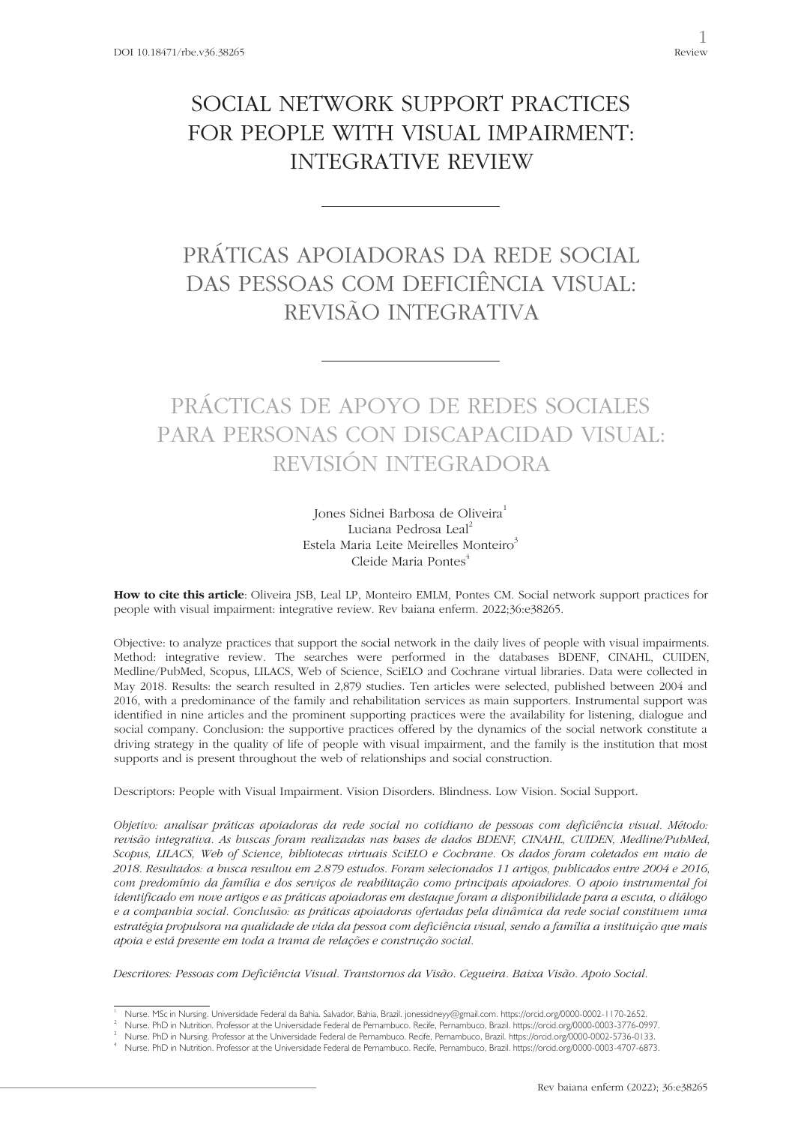## SOCIAL NETWORK SUPPORT PRACTICES FOR PEOPLE WITH VISUAL IMPAIRMENT: INTEGRATIVE REVIEW

# PRÁTICAS APOIADORAS DA REDE SOCIAL DAS PESSOAS COM DEFICIÊNCIA VISUAL: REVISÃO INTEGRATIVA

# PRÁCTICAS DE APOYO DE REDES SOCIALES PARA PERSONAS CON DISCAPACIDAD VISUAL: REVISIÓN INTEGRADORA

Jones Sidnei Barbosa de Oliveira<sup>1</sup> Luciana Pedrosa Leal<sup>2</sup> Estela Maria Leite Meirelles Monteiro<sup>3</sup> Cleide Maria Pontes<sup>4</sup>

**How to cite this article**: Oliveira JSB, Leal LP, Monteiro EMLM, Pontes CM. Social network support practices for people with visual impairment: integrative review. Rev baiana enferm. 2022;36:e38265.

Objective: to analyze practices that support the social network in the daily lives of people with visual impairments. Method: integrative review. The searches were performed in the databases BDENF, CINAHL, CUIDEN, Medline/PubMed, Scopus, LILACS, Web of Science, SciELO and Cochrane virtual libraries. Data were collected in May 2018. Results: the search resulted in 2,879 studies. Ten articles were selected, published between 2004 and 2016, with a predominance of the family and rehabilitation services as main supporters. Instrumental support was identified in nine articles and the prominent supporting practices were the availability for listening, dialogue and social company. Conclusion: the supportive practices offered by the dynamics of the social network constitute a driving strategy in the quality of life of people with visual impairment, and the family is the institution that most supports and is present throughout the web of relationships and social construction.

Descriptors: People with Visual Impairment. Vision Disorders. Blindness. Low Vision. Social Support.

*Objetivo: analisar práticas apoiadoras da rede social no cotidiano de pessoas com deficiência visual. Método: revisão integrativa. As buscas foram realizadas nas bases de dados BDENF, CINAHL, CUIDEN, Medline/PubMed, Scopus, LILACS, Web of Science, bibliotecas virtuais SciELO e Cochrane. Os dados foram coletados em maio de 2018. Resultados: a busca resultou em 2.879 estudos. Foram selecionados 11 artigos, publicados entre 2004 e 2016, com predomínio da família e dos serviços de reabilitação como principais apoiadores. O apoio instrumental foi identificado em nove artigos e as práticas apoiadoras em destaque foram a disponibilidade para a escuta, o diálogo e a companhia social. Conclusão: as práticas apoiadoras ofertadas pela dinâmica da rede social constituem uma estratégia propulsora na qualidade de vida da pessoa com deficiência visual, sendo a família a instituição que mais apoia e está presente em toda a trama de relações e construção social.*

*Descritores: Pessoas com Deficiência Visual. Transtornos da Visão. Cegueira. Baixa Visão. Apoio Social.*

<sup>1</sup> Nurse. MSc in Nursing. Universidade Federal da Bahia. Salvador, Bahia, Brazil. jonessidneyy@gmail.com. https://orcid.org/0000-0002-1170-2652.

<sup>2</sup> Nurse. PhD in Nutrition. Professor at the Universidade Federal de Pernambuco. Recife, Pernambuco, Brazil. https://orcid.org/0000-0003-3776-0997.

Nurse. PhD in Nursing. Professor at the Universidade Federal de Pernambuco. Recife, Pernambuco, Brazil. https://orcid.org/0000-0002-5736-0133.<br>Nurse. PhD in Nutrition. Professor at the Universidade Federal de Pernambuco. R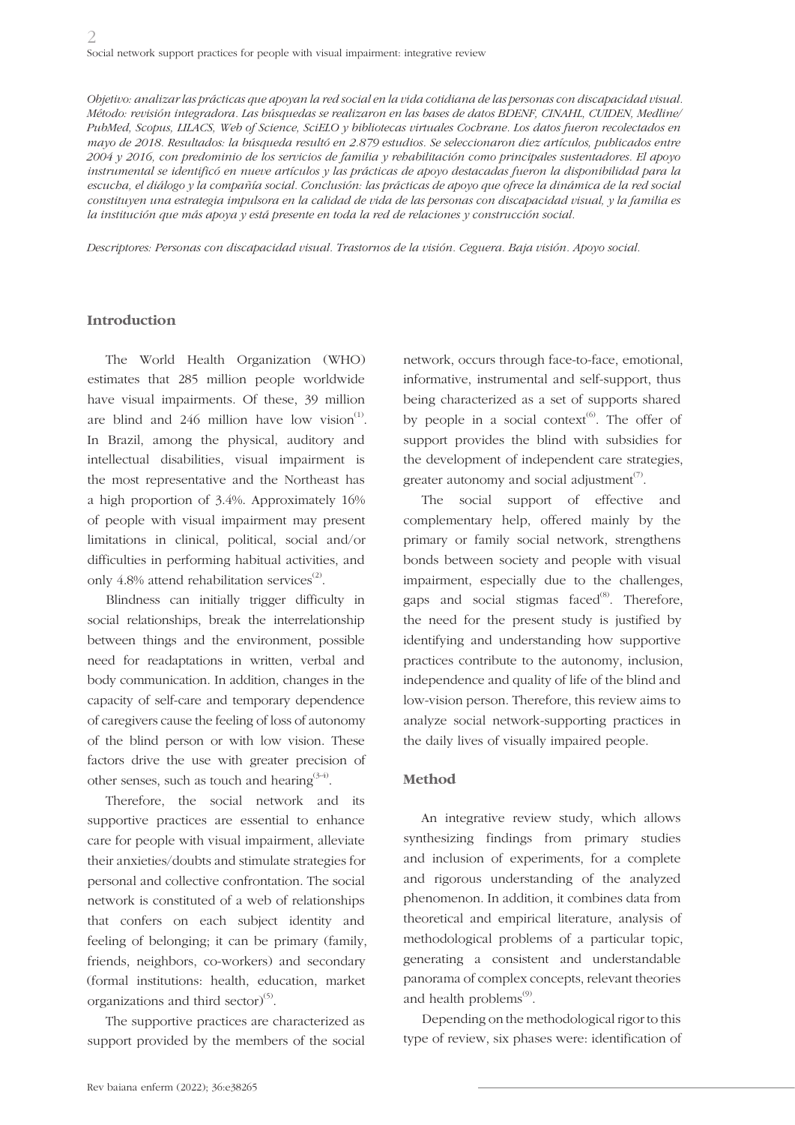*Objetivo: analizar las prácticas que apoyan la red social en la vida cotidiana de las personas con discapacidad visual. Método: revisión integradora. Las búsquedas se realizaron en las bases de datos BDENF, CINAHL, CUIDEN, Medline/ PubMed, Scopus, LILACS, Web of Science, SciELO y bibliotecas virtuales Cochrane. Los datos fueron recolectados en mayo de 2018. Resultados: la búsqueda resultó en 2.879 estudios. Se seleccionaron diez artículos, publicados entre 2004 y 2016, con predominio de los servicios de familia y rehabilitación como principales sustentadores. El apoyo instrumental se identificó en nueve artículos y las prácticas de apoyo destacadas fueron la disponibilidad para la escucha, el diálogo y la compañía social. Conclusión: las prácticas de apoyo que ofrece la dinámica de la red social constituyen una estrategia impulsora en la calidad de vida de las personas con discapacidad visual, y la familia es la institución que más apoya y está presente en toda la red de relaciones y construcción social.*

*Descriptores: Personas con discapacidad visual. Trastornos de la visión. Ceguera. Baja visión. Apoyo social.*

#### **Introduction**

The World Health Organization (WHO) estimates that 285 million people worldwide have visual impairments. Of these, 39 million are blind and  $246$  million have low vision<sup>(1)</sup>. In Brazil, among the physical, auditory and intellectual disabilities, visual impairment is the most representative and the Northeast has a high proportion of 3.4%. Approximately 16% of people with visual impairment may present limitations in clinical, political, social and/or difficulties in performing habitual activities, and only 4.8% attend rehabilitation services $^{(2)}$ .

Blindness can initially trigger difficulty in social relationships, break the interrelationship between things and the environment, possible need for readaptations in written, verbal and body communication. In addition, changes in the capacity of self-care and temporary dependence of caregivers cause the feeling of loss of autonomy of the blind person or with low vision. These factors drive the use with greater precision of other senses, such as touch and hearing  $3-4$ .

Therefore, the social network and its supportive practices are essential to enhance care for people with visual impairment, alleviate their anxieties/doubts and stimulate strategies for personal and collective confrontation. The social network is constituted of a web of relationships that confers on each subject identity and feeling of belonging; it can be primary (family, friends, neighbors, co-workers) and secondary (formal institutions: health, education, market organizations and third sector) $^{(5)}$ .

The supportive practices are characterized as support provided by the members of the social

network, occurs through face-to-face, emotional, informative, instrumental and self-support, thus being characterized as a set of supports shared by people in a social context<sup> $(6)$ </sup>. The offer of support provides the blind with subsidies for the development of independent care strategies, greater autonomy and social adjustment<sup> $(7)$ </sup>.

The social support of effective and complementary help, offered mainly by the primary or family social network, strengthens bonds between society and people with visual impairment, especially due to the challenges, gaps and social stigmas faced $^{(8)}$ . Therefore, the need for the present study is justified by identifying and understanding how supportive practices contribute to the autonomy, inclusion, independence and quality of life of the blind and low-vision person. Therefore, this review aims to analyze social network-supporting practices in the daily lives of visually impaired people.

#### **Method**

An integrative review study, which allows synthesizing findings from primary studies and inclusion of experiments, for a complete and rigorous understanding of the analyzed phenomenon. In addition, it combines data from theoretical and empirical literature, analysis of methodological problems of a particular topic, generating a consistent and understandable panorama of complex concepts, relevant theories and health problems $<sup>(9)</sup>$ .</sup>

Depending on the methodological rigor to this type of review, six phases were: identification of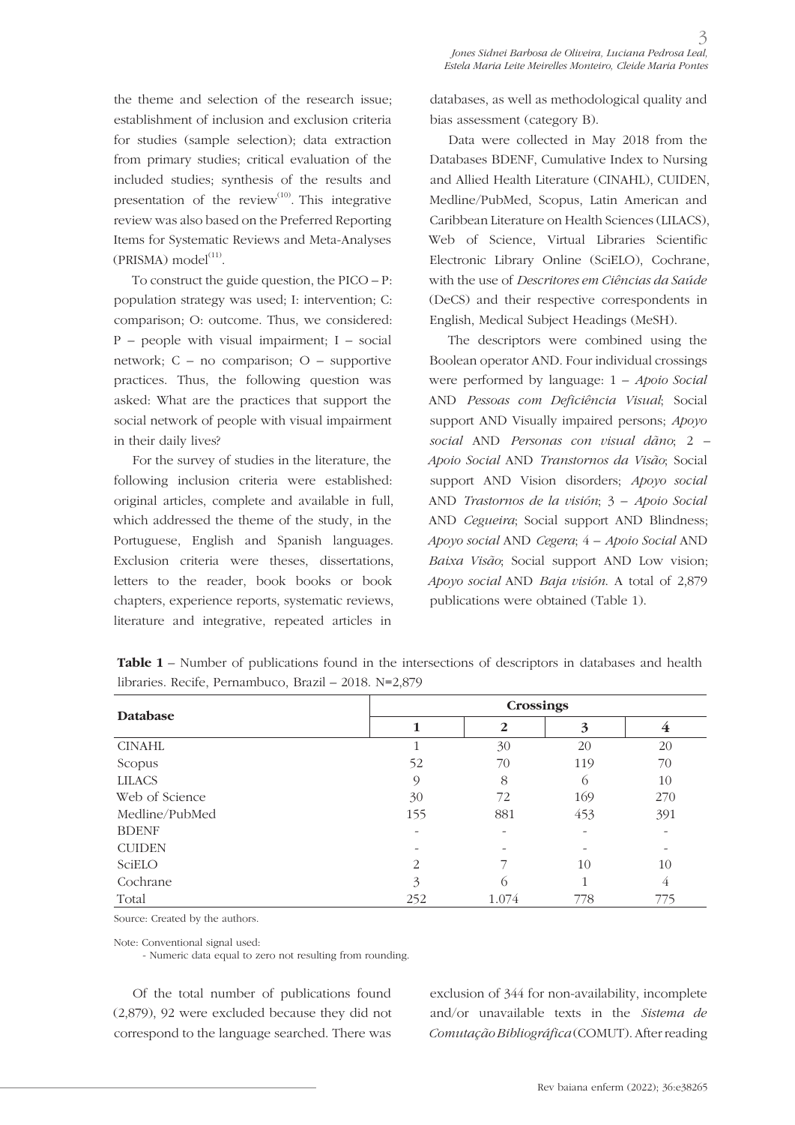the theme and selection of the research issue; establishment of inclusion and exclusion criteria for studies (sample selection); data extraction from primary studies; critical evaluation of the included studies; synthesis of the results and presentation of the review<sup>(10)</sup>. This integrative review was also based on the Preferred Reporting Items for Systematic Reviews and Meta-Analyses  $(PRISMA) model<sup>(11)</sup>.$ 

To construct the guide question, the PICO – P: population strategy was used; I: intervention; C: comparison; O: outcome. Thus, we considered: P – people with visual impairment; I – social network; C – no comparison; O – supportive practices. Thus, the following question was asked: What are the practices that support the social network of people with visual impairment in their daily lives?

For the survey of studies in the literature, the following inclusion criteria were established: original articles, complete and available in full, which addressed the theme of the study, in the Portuguese, English and Spanish languages. Exclusion criteria were theses, dissertations, letters to the reader, book books or book chapters, experience reports, systematic reviews, literature and integrative, repeated articles in

databases, as well as methodological quality and bias assessment (category B).

Data were collected in May 2018 from the Databases BDENF, Cumulative Index to Nursing and Allied Health Literature (CINAHL), CUIDEN, Medline/PubMed, Scopus, Latin American and Caribbean Literature on Health Sciences (LILACS), Web of Science, Virtual Libraries Scientific Electronic Library Online (SciELO), Cochrane, with the use of *Descritores em Ciências da Saúde* (DeCS) and their respective correspondents in English, Medical Subject Headings (MeSH).

The descriptors were combined using the Boolean operator AND. Four individual crossings were performed by language: 1 – *Apoio Social* AND *Pessoas com Deficiência Visual*; Social support AND Visually impaired persons; *Apoyo social* AND *Personas con visual dãno*; 2 – *Apoio Social* AND *Transtornos da Visão*; Social support AND Vision disorders; *Apoyo social* AND *Trastornos de la visión*; 3 – *Apoio Social* AND *Cegueira*; Social support AND Blindness; *Apoyo social* AND *Cegera*; 4 – *Apoio Social* AND *Baixa Visão*; Social support AND Low vision; *Apoyo social* AND *Baja visión*. A total of 2,879 publications were obtained (Table 1).

| <b>Database</b> | <b>Crossings</b> |              |          |     |
|-----------------|------------------|--------------|----------|-----|
|                 |                  | $\mathbf{2}$ | 3        | 4   |
| <b>CINAHL</b>   |                  | 30           | 20       | 20  |
| Scopus          | 52               | 70           | 119      | 70  |
| <b>LILACS</b>   | 9                | 8            | $\sigma$ | 10  |
| Web of Science  | 30               | 72           | 169      | 270 |
| Medline/PubMed  | 155              | 881          | 453      | 391 |
| <b>BDENF</b>    |                  |              |          |     |
| <b>CUIDEN</b>   |                  |              |          |     |
| SciELO          | 2                |              | 10       | 10  |
| Cochrane        | 3                | $\bigcap$    |          | 4   |
| Total           | 252              | 1.074        | 778      | 775 |

**Table 1** – Number of publications found in the intersections of descriptors in databases and health libraries. Recife, Pernambuco, Brazil – 2018. N=2,879

Source: Created by the authors.

Note: Conventional signal used:

- Numeric data equal to zero not resulting from rounding.

Of the total number of publications found (2,879), 92 were excluded because they did not correspond to the language searched. There was exclusion of 344 for non-availability, incomplete and/or unavailable texts in the *Sistema de Comutação Bibliográfica* (COMUT). After reading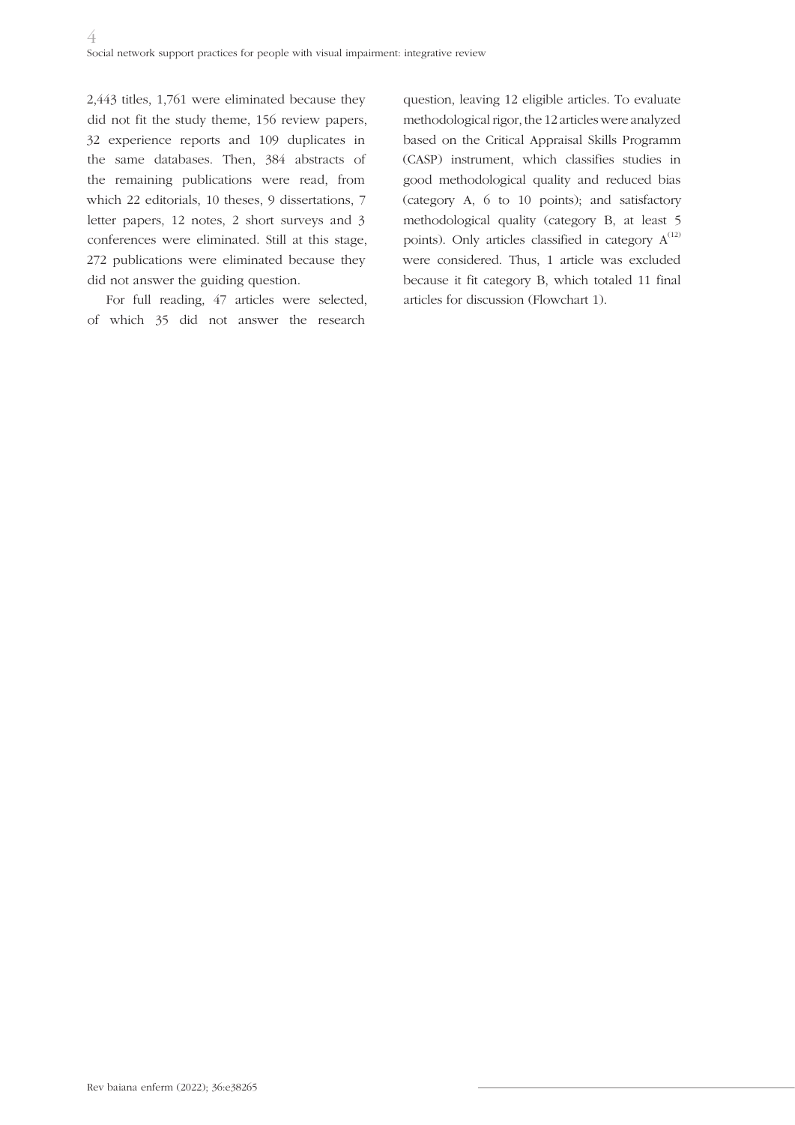2,443 titles, 1,761 were eliminated because they did not fit the study theme, 156 review papers, 32 experience reports and 109 duplicates in the same databases. Then, 384 abstracts of the remaining publications were read, from which 22 editorials, 10 theses, 9 dissertations, 7 letter papers, 12 notes, 2 short surveys and 3 conferences were eliminated. Still at this stage, 272 publications were eliminated because they did not answer the guiding question.

For full reading, 47 articles were selected, of which 35 did not answer the research

question, leaving 12 eligible articles. To evaluate methodological rigor, the 12 articles were analyzed based on the Critical Appraisal Skills Programm (CASP) instrument, which classifies studies in good methodological quality and reduced bias (category A, 6 to 10 points); and satisfactory methodological quality (category B, at least 5 points). Only articles classified in category  $A^{(12)}$ were considered. Thus, 1 article was excluded because it fit category B, which totaled 11 final articles for discussion (Flowchart 1).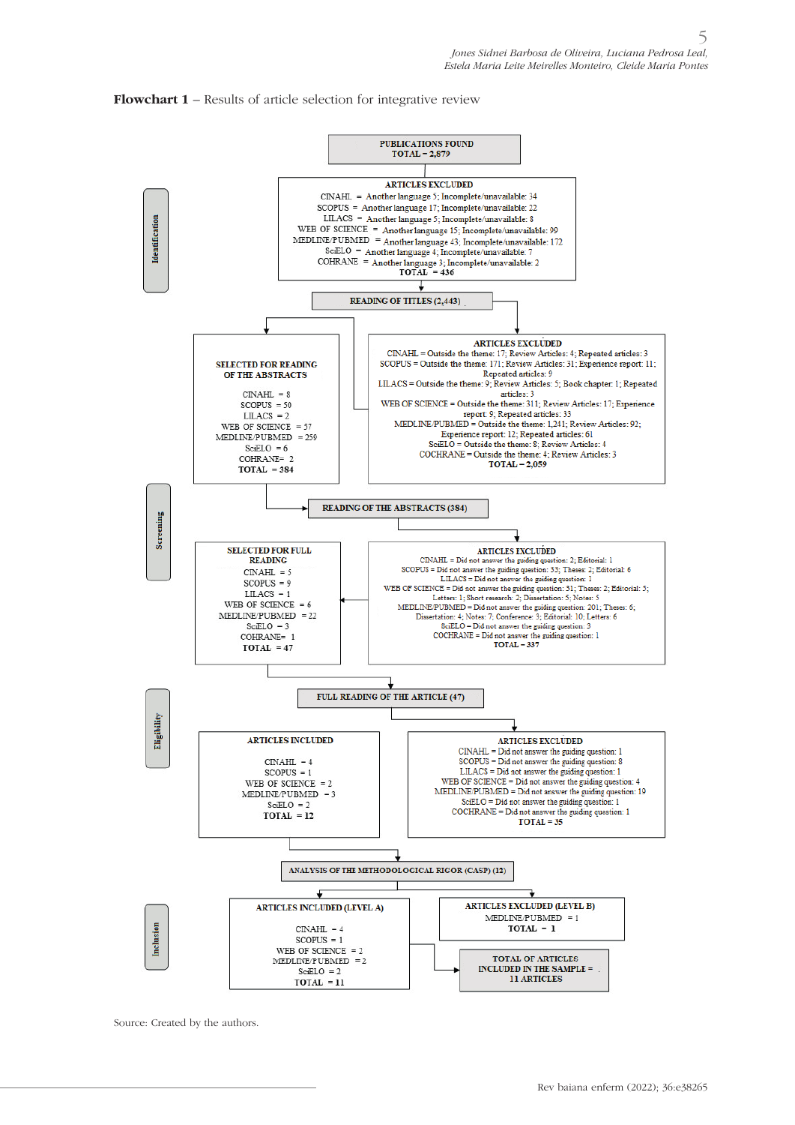#### **Flowchart 1** – Results of article selection for integrative review



Source: Created by the authors.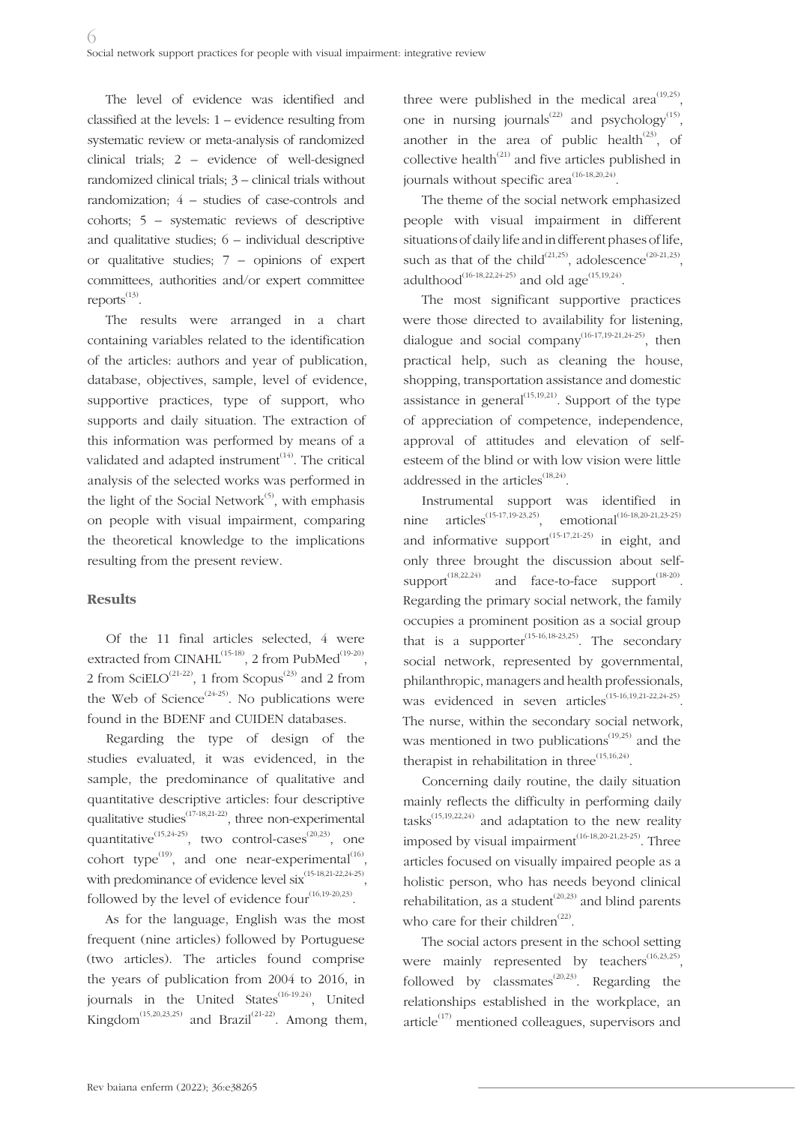The level of evidence was identified and classified at the levels: 1 – evidence resulting from systematic review or meta-analysis of randomized clinical trials; 2 – evidence of well-designed randomized clinical trials; 3 – clinical trials without randomization; 4 – studies of case-controls and cohorts; 5 – systematic reviews of descriptive and qualitative studies; 6 – individual descriptive or qualitative studies; 7 – opinions of expert committees, authorities and/or expert committee reports<sup>(13)</sup>.

The results were arranged in a chart containing variables related to the identification of the articles: authors and year of publication, database, objectives, sample, level of evidence, supportive practices, type of support, who supports and daily situation. The extraction of this information was performed by means of a validated and adapted instrument $(14)$ . The critical analysis of the selected works was performed in the light of the Social Network $^{(5)}$ , with emphasis on people with visual impairment, comparing the theoretical knowledge to the implications resulting from the present review.

### **Results**

Of the 11 final articles selected, 4 were extracted from CINAHL<sup>(15-18)</sup>, 2 from PubMed<sup>(19-20)</sup>, 2 from SciELO<sup>(21-22)</sup>, 1 from Scopus<sup>(23)</sup> and 2 from the Web of Science<sup> $(24-25)$ </sup>. No publications were found in the BDENF and CUIDEN databases.

Regarding the type of design of the studies evaluated, it was evidenced, in the sample, the predominance of qualitative and quantitative descriptive articles: four descriptive qualitative studies(17-18,21-22), three non-experimental quantitative<sup> $(15,24-25)$ </sup>, two control-cases<sup> $(20,23)$ </sup>, one cohort type<sup>(19)</sup>, and one near-experimental<sup>(16)</sup>, with predominance of evidence level  $six^{(15-18,21-22,24-25)}$ . followed by the level of evidence four $(16,19-20,23)$ .

As for the language, English was the most frequent (nine articles) followed by Portuguese (two articles). The articles found comprise the years of publication from 2004 to 2016, in journals in the United States<sup> $(16-19.24)$ </sup>, United Kingdom<sup>(15,20,23,25)</sup> and Brazil<sup>(21-22)</sup>. Among them, three were published in the medical area<sup> $(19,25)$ </sup>, one in nursing journals<sup>(22)</sup> and psychology<sup>(15)</sup>, another in the area of public health<sup> $(23)$ </sup>, of collective health<sup> $(21)$ </sup> and five articles published in journals without specific area<sup> $(16-18,20,24)$ </sup>.

The theme of the social network emphasized people with visual impairment in different situations of daily life and in different phases of life, such as that of the child<sup>(21,25)</sup>, adolescence<sup>(20-21,23)</sup>, adulthood<sup>(16-18,22,24-25)</sup> and old age<sup>(15,19,24)</sup>.

The most significant supportive practices were those directed to availability for listening, dialogue and social company<sup>(16-17,19-21,24-25)</sup>, then practical help, such as cleaning the house, shopping, transportation assistance and domestic assistance in general<sup> $(15,19,21)$ </sup>. Support of the type of appreciation of competence, independence, approval of attitudes and elevation of selfesteem of the blind or with low vision were little addressed in the articles<sup> $(18,24)$ </sup>.

Instrumental support was identified in nine articles<sup>(15-17,19-23,25)</sup>, emotional<sup>(16-18,20-21,23-25)</sup> and informative support<sup>(15-17,21-25)</sup> in eight, and only three brought the discussion about selfsupport<sup> $(18,22,24)$ </sup> and face-to-face support $(18-20)$ . Regarding the primary social network, the family occupies a prominent position as a social group that is a supporter<sup> $(15-16,18-23,25)$ </sup>. The secondary social network, represented by governmental, philanthropic, managers and health professionals, was evidenced in seven articles<sup>(15-16,19,21-22,24-25)</sup>. The nurse, within the secondary social network, was mentioned in two publications<sup> $(19,25)$ </sup> and the therapist in rehabilitation in three<sup> $(15,16,24)$ </sup>.

Concerning daily routine, the daily situation mainly reflects the difficulty in performing daily tasks $^{(15,19,22,24)}$  and adaptation to the new reality imposed by visual impairment<sup>(16-18,20-21,23-25)</sup>. Three articles focused on visually impaired people as a holistic person, who has needs beyond clinical rehabilitation, as a student<sup> $(20,23)$ </sup> and blind parents who care for their children<sup>(22)</sup>.

The social actors present in the school setting were mainly represented by teachers<sup> $(16,23,25)$ </sup>, followed by classmates<sup> $(20,23)$ </sup>. Regarding the relationships established in the workplace, an article $^{(17)}$  mentioned colleagues, supervisors and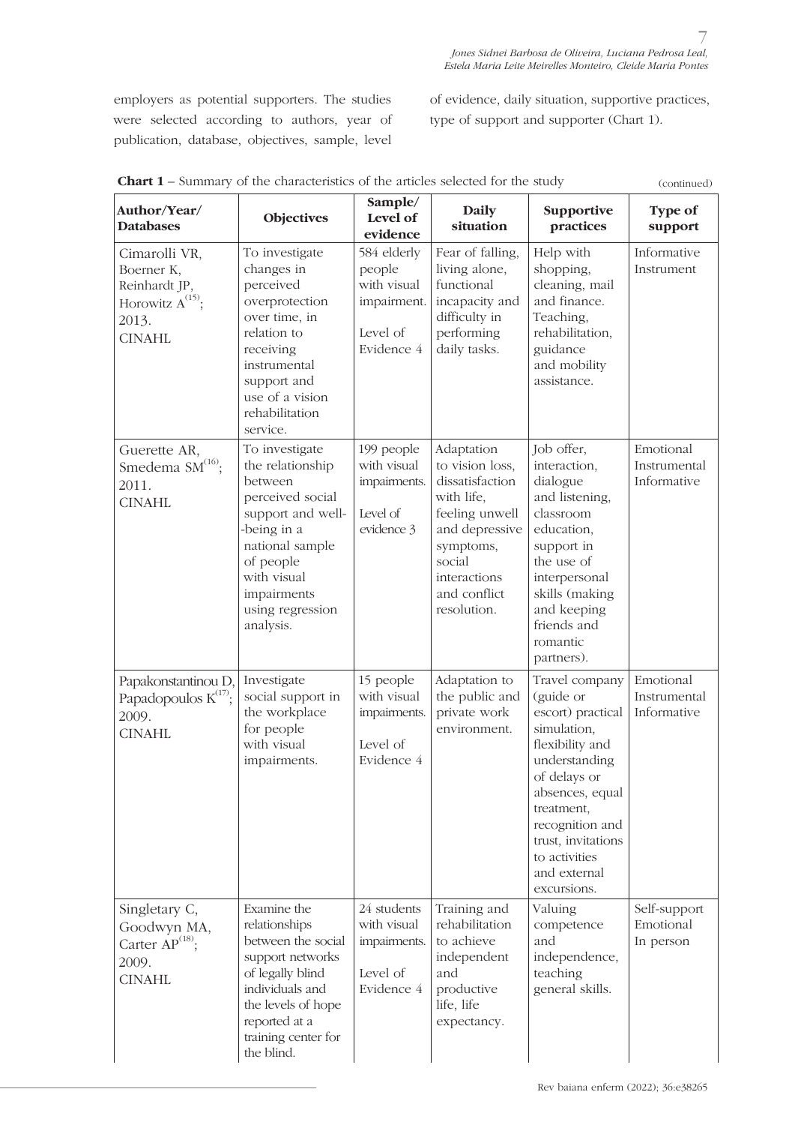employers as potential supporters. The studies were selected according to authors, year of publication, database, objectives, sample, level

of evidence, daily situation, supportive practices, type of support and supporter (Chart 1).

| <b>Chart 1</b> – Summary of the characteristics of the articles selected for the study          |                                                                                                                                                                                                      |                                                                               |                                                                                                                                                                          |                                                                                                                                                                                                                                               | (continued)                              |
|-------------------------------------------------------------------------------------------------|------------------------------------------------------------------------------------------------------------------------------------------------------------------------------------------------------|-------------------------------------------------------------------------------|--------------------------------------------------------------------------------------------------------------------------------------------------------------------------|-----------------------------------------------------------------------------------------------------------------------------------------------------------------------------------------------------------------------------------------------|------------------------------------------|
| Author/Year/<br><b>Databases</b>                                                                | <b>Objectives</b>                                                                                                                                                                                    | Sample/<br>Level of<br>evidence                                               | <b>Daily</b><br>situation                                                                                                                                                | Supportive<br>practices                                                                                                                                                                                                                       | Type of<br>support                       |
| Cimarolli VR,<br>Boerner K,<br>Reinhardt JP,<br>Horowitz $A^{(15)}$ ;<br>2013.<br><b>CINAHL</b> | To investigate<br>changes in<br>perceived<br>overprotection<br>over time, in<br>relation to<br>receiving<br>instrumental<br>support and<br>use of a vision<br>rehabilitation<br>service.             | 584 elderly<br>people<br>with visual<br>impairment.<br>Level of<br>Evidence 4 | Fear of falling,<br>living alone,<br>functional<br>incapacity and<br>difficulty in<br>performing<br>daily tasks.                                                         | Help with<br>shopping,<br>cleaning, mail<br>and finance.<br>Teaching,<br>rehabilitation,<br>guidance<br>and mobility<br>assistance.                                                                                                           | Informative<br>Instrument                |
| Guerette AR,<br>Smedema SM <sup>(16)</sup> ;<br>2011.<br><b>CINAHL</b>                          | To investigate<br>the relationship<br>between<br>perceived social<br>support and well-<br>-being in a<br>national sample<br>of people<br>with visual<br>impairments<br>using regression<br>analysis. | 199 people<br>with visual<br>impairments.<br>Level of<br>evidence 3           | Adaptation<br>to vision loss,<br>dissatisfaction<br>with life,<br>feeling unwell<br>and depressive<br>symptoms,<br>social<br>interactions<br>and conflict<br>resolution. | Job offer,<br>interaction,<br>dialogue<br>and listening,<br>classroom<br>education,<br>support in<br>the use of<br>interpersonal<br>skills (making<br>and keeping<br>friends and<br>romantic<br>partners).                                    | Emotional<br>Instrumental<br>Informative |
| Papakonstantinou D,<br>Papadopoulos $K^{(17)}$ ;<br>2009.<br><b>CINAHL</b>                      | Investigate<br>social support in<br>the workplace<br>for people<br>with visual<br>impairments.                                                                                                       | 15 people<br>with visual<br>impairments.<br>Level of<br>Evidence 4            | Adaptation to<br>the public and<br>private work<br>environment.                                                                                                          | Travel company<br>(guide or<br>escort) practical<br>simulation,<br>flexibility and<br>understanding<br>of delays or<br>absences, equal<br>treatment,<br>recognition and<br>trust, invitations<br>to activities<br>and external<br>excursions. | Emotional<br>Instrumental<br>Informative |
| Singletary C,<br>Goodwyn MA,<br>Carter $AP^{(18)}$ ;<br>2009.<br><b>CINAHL</b>                  | Examine the<br>relationships<br>between the social<br>support networks<br>of legally blind<br>individuals and<br>the levels of hope<br>reported at a<br>training center for<br>the blind.            | 24 students<br>with visual<br>impairments.<br>Level of<br>Evidence 4          | Training and<br>rehabilitation<br>to achieve<br>independent<br>and<br>productive<br>life, life<br>expectancy.                                                            | Valuing<br>competence<br>and<br>independence,<br>teaching<br>general skills.                                                                                                                                                                  | Self-support<br>Emotional<br>In person   |

**Chart 1** – Summary of the characteristics of the articles selected for the study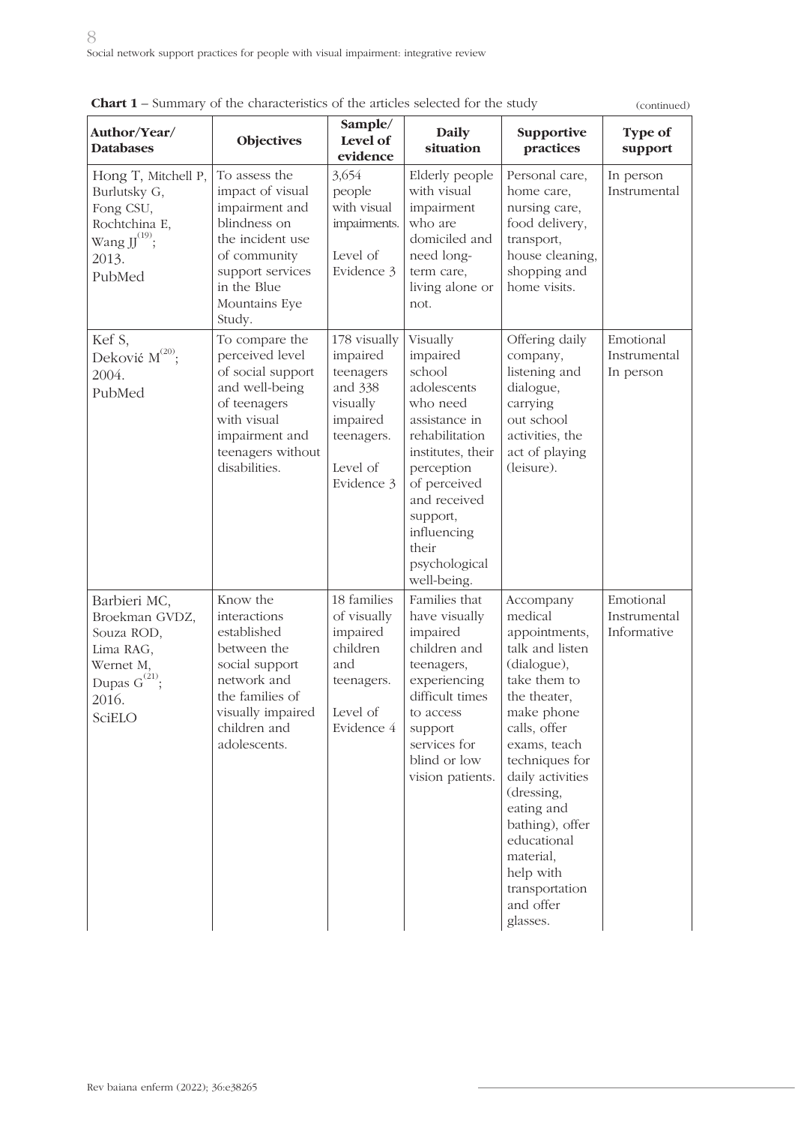|                                                                                                                 | <b>Chart 1</b> – Summary of the characteristics of the articles selected for the study<br>(continued)<br>Sample/                                                      |                                                                                                                  |                                                                                                                                                                                                                                     |                                                                                                                                                                                                                                                                                                                                |                                          |
|-----------------------------------------------------------------------------------------------------------------|-----------------------------------------------------------------------------------------------------------------------------------------------------------------------|------------------------------------------------------------------------------------------------------------------|-------------------------------------------------------------------------------------------------------------------------------------------------------------------------------------------------------------------------------------|--------------------------------------------------------------------------------------------------------------------------------------------------------------------------------------------------------------------------------------------------------------------------------------------------------------------------------|------------------------------------------|
| Author/Year/<br><b>Databases</b>                                                                                | <b>Objectives</b>                                                                                                                                                     | Level of<br>evidence                                                                                             | <b>Daily</b><br>situation                                                                                                                                                                                                           | Supportive<br>practices                                                                                                                                                                                                                                                                                                        | <b>Type of</b><br>support                |
| Hong T, Mitchell P,<br>Burlutsky G,<br>Fong CSU,<br>Rochtchina E,<br>Wang $JJ^{(19)}$ ;<br>2013.<br>PubMed      | To assess the<br>impact of visual<br>impairment and<br>blindness on<br>the incident use<br>of community<br>support services<br>in the Blue<br>Mountains Eye<br>Study. | 3,654<br>people<br>with visual<br>impairments.<br>Level of<br>Evidence 3                                         | Elderly people<br>with visual<br>impairment<br>who are<br>domiciled and<br>need long-<br>term care,<br>living alone or<br>not.                                                                                                      | Personal care,<br>home care,<br>nursing care,<br>food delivery,<br>transport,<br>house cleaning,<br>shopping and<br>home visits.                                                                                                                                                                                               | In person<br>Instrumental                |
| Kef S,<br>Deković M <sup>(20)</sup> ;<br>2004.<br>PubMed                                                        | To compare the<br>perceived level<br>of social support<br>and well-being<br>of teenagers<br>with visual<br>impairment and<br>teenagers without<br>disabilities.       | 178 visually<br>impaired<br>teenagers<br>and 338<br>visually<br>impaired<br>teenagers.<br>Level of<br>Evidence 3 | Visually<br>impaired<br>school<br>adolescents<br>who need<br>assistance in<br>rehabilitation<br>institutes, their<br>perception<br>of perceived<br>and received<br>support,<br>influencing<br>their<br>psychological<br>well-being. | Offering daily<br>company,<br>listening and<br>dialogue,<br>carrying<br>out school<br>activities, the<br>act of playing<br>(leisure).                                                                                                                                                                                          | Emotional<br>Instrumental<br>In person   |
| Barbieri MC,<br>Broekman GVDZ,<br>Souza ROD,<br>Lima RAG,<br>Wernet M,<br>Dupas $G^{(21)}$ ;<br>2016.<br>SciELO | Know the<br>interactions<br>established<br>between the<br>social support<br>network and<br>the families of<br>visually impaired<br>children and<br>adolescents.       | 18 families<br>of visually<br>impaired<br>children<br>and<br>teenagers.<br>Level of<br>Evidence 4                | Families that<br>have visually<br>impaired<br>children and<br>teenagers,<br>experiencing<br>difficult times<br>to access<br>support<br>services for<br>blind or low<br>vision patients.                                             | Accompany<br>medical<br>appointments,<br>talk and listen<br>(dialogue),<br>take them to<br>the theater,<br>make phone<br>calls, offer<br>exams, teach<br>techniques for<br>daily activities<br>(dressing,<br>eating and<br>bathing), offer<br>educational<br>material,<br>help with<br>transportation<br>and offer<br>glasses. | Emotional<br>Instrumental<br>Informative |

|  |  | <b>Chart 1</b> – Summary of the characteristics of the articles selected for the study |
|--|--|----------------------------------------------------------------------------------------|
|--|--|----------------------------------------------------------------------------------------|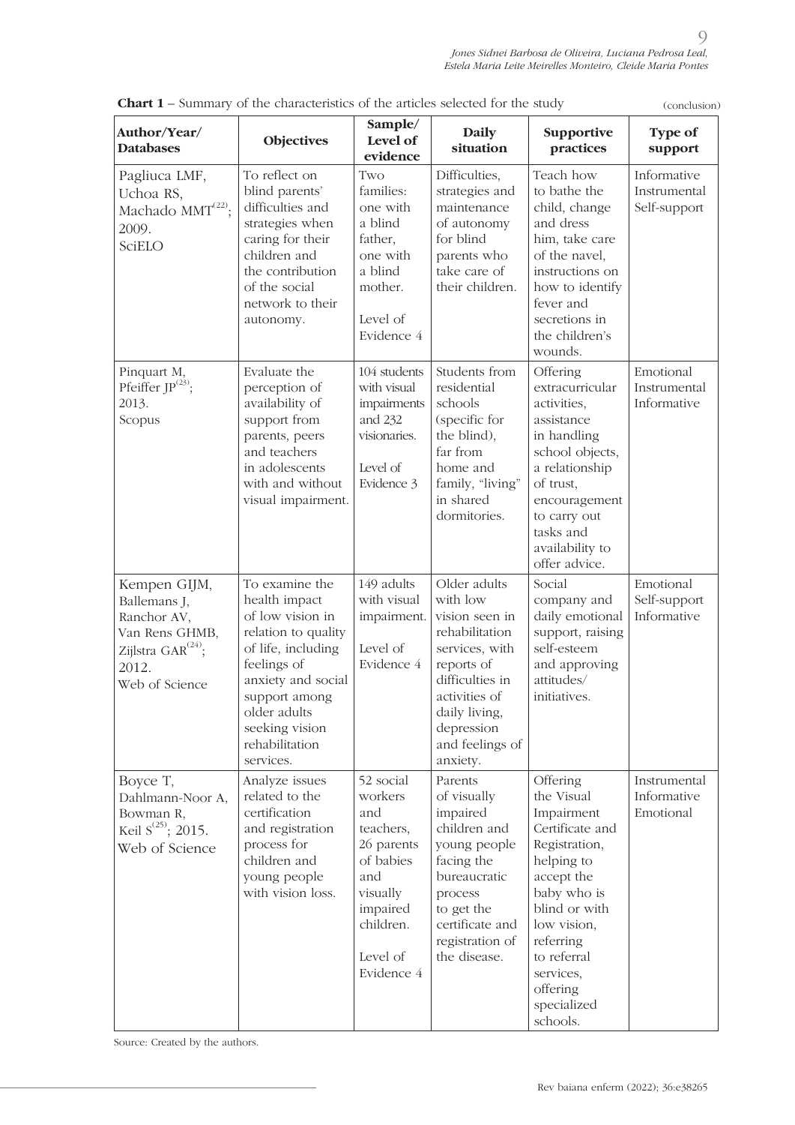| Author/Year/<br><b>Databases</b>                                                                                    | Objectives                                                                                                                                                                                                              | Sample/<br>Level of<br>evidence                                                                                                           | <b>Daily</b><br>situation                                                                                                                                                                      | Supportive<br>practices                                                                                                                                                                                                             | Type of<br>support                          |
|---------------------------------------------------------------------------------------------------------------------|-------------------------------------------------------------------------------------------------------------------------------------------------------------------------------------------------------------------------|-------------------------------------------------------------------------------------------------------------------------------------------|------------------------------------------------------------------------------------------------------------------------------------------------------------------------------------------------|-------------------------------------------------------------------------------------------------------------------------------------------------------------------------------------------------------------------------------------|---------------------------------------------|
| Pagliuca LMF,<br>Uchoa RS,<br>Machado MMT <sup>(22)</sup> ;<br>2009.<br>SciELO                                      | To reflect on<br>blind parents'<br>difficulties and<br>strategies when<br>caring for their<br>children and<br>the contribution<br>of the social<br>network to their<br>autonomy.                                        | Two<br>families:<br>one with<br>a blind<br>father,<br>one with<br>a blind<br>mother.<br>Level of<br>Evidence 4                            | Difficulties,<br>strategies and<br>maintenance<br>of autonomy<br>for blind<br>parents who<br>take care of<br>their children.                                                                   | Teach how<br>to bathe the<br>child, change<br>and dress<br>him, take care<br>of the navel,<br>instructions on<br>how to identify<br>fever and<br>secretions in<br>the children's<br>wounds.                                         | Informative<br>Instrumental<br>Self-support |
| Pinquart M,<br>Pfeiffer JP <sup>(23)</sup> ;<br>2013.<br>Scopus                                                     | Evaluate the<br>perception of<br>availability of<br>support from<br>parents, peers<br>and teachers<br>in adolescents<br>with and without<br>visual impairment.                                                          | 104 students<br>with visual<br>impairments<br>and 232<br>visionaries.<br>Level of<br>Evidence 3                                           | Students from<br>residential<br>schools<br>(specific for<br>the blind),<br>far from<br>home and<br>family, "living"<br>in shared<br>dormitories.                                               | Offering<br>extracurricular<br>activities,<br>assistance<br>in handling<br>school objects,<br>a relationship<br>of trust,<br>encouragement<br>to carry out<br>tasks and<br>availability to<br>offer advice.                         | Emotional<br>Instrumental<br>Informative    |
| Kempen GIJM,<br>Ballemans J,<br>Ranchor AV,<br>Van Rens GHMB,<br>Zijlstra $GAR^{(24)}$ ;<br>2012.<br>Web of Science | To examine the<br>health impact<br>of low vision in<br>relation to quality<br>of life, including<br>feelings of<br>anxiety and social<br>support among<br>older adults<br>seeking vision<br>rehabilitation<br>services. | 149 adults<br>with visual<br>impairment.<br>Level of<br>Evidence 4                                                                        | Older adults<br>with low<br>vision seen in<br>rehabilitation<br>services, with<br>reports of<br>difficulties in<br>activities of<br>daily living,<br>depression<br>and feelings of<br>anxiety. | Social<br>company and<br>daily emotional<br>support, raising<br>self-esteem<br>and approving<br>attitudes/<br>initiatives.                                                                                                          | Emotional<br>Self-support<br>Informative    |
| Boyce T,<br>Dahlmann-Noor A,<br>Bowman R,<br>Keil $S^{(25)}$ ; 2015.<br>Web of Science                              | Analyze issues<br>related to the<br>certification<br>and registration<br>process for<br>children and<br>young people<br>with vision loss.                                                                               | 52 social<br>workers<br>and<br>teachers,<br>26 parents<br>of babies<br>and<br>visually<br>impaired<br>children.<br>Level of<br>Evidence 4 | Parents<br>of visually<br>impaired<br>children and<br>young people<br>facing the<br>bureaucratic<br>process<br>to get the<br>certificate and<br>registration of<br>the disease.                | Offering<br>the Visual<br>Impairment<br>Certificate and<br>Registration,<br>helping to<br>accept the<br>baby who is<br>blind or with<br>low vision,<br>referring<br>to referral<br>services,<br>offering<br>specialized<br>schools. | Instrumental<br>Informative<br>Emotional    |

**Chart 1** – Summary of the characteristics of the articles selected for the study

Source: Created by the authors.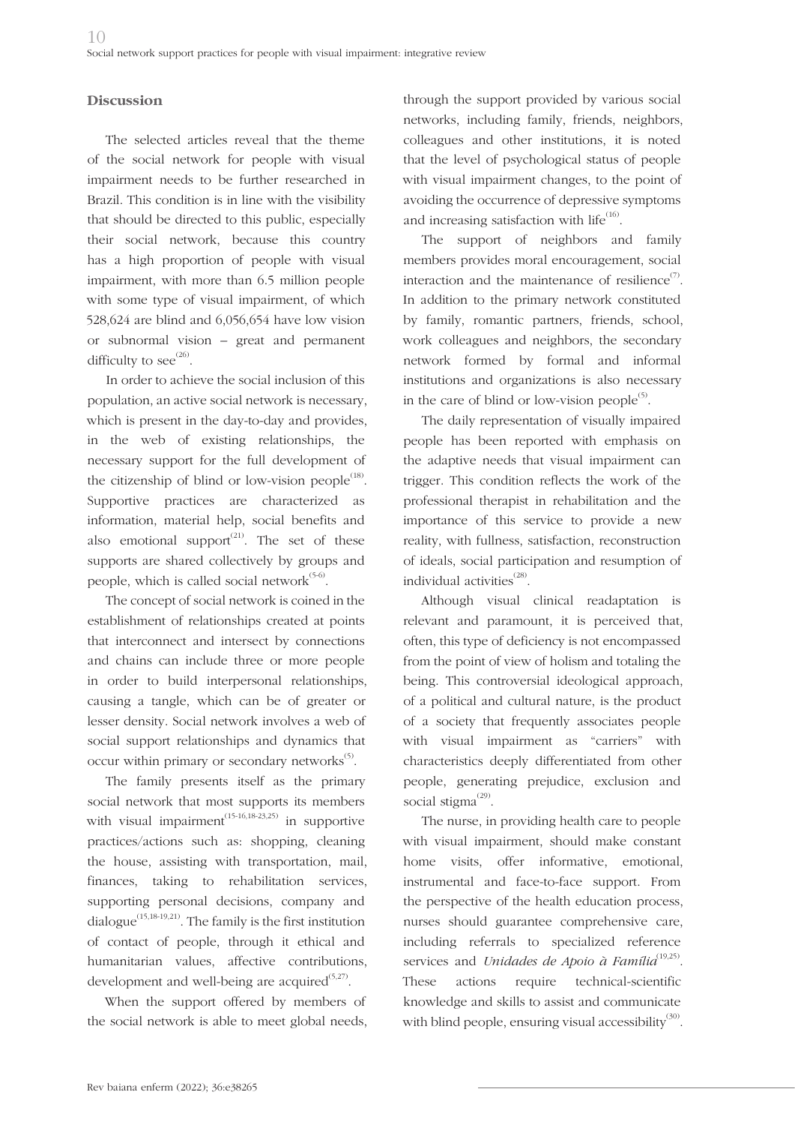### **Discussion**

The selected articles reveal that the theme of the social network for people with visual impairment needs to be further researched in Brazil. This condition is in line with the visibility that should be directed to this public, especially their social network, because this country has a high proportion of people with visual impairment, with more than 6.5 million people with some type of visual impairment, of which 528,624 are blind and 6,056,654 have low vision or subnormal vision – great and permanent difficulty to see $^{(26)}$ .

In order to achieve the social inclusion of this population, an active social network is necessary, which is present in the day-to-day and provides, in the web of existing relationships, the necessary support for the full development of the citizenship of blind or low-vision people<sup> $(18)$ </sup>. Supportive practices are characterized as information, material help, social benefits and also emotional support $(21)$ . The set of these supports are shared collectively by groups and people, which is called social network $(5-6)$ .

The concept of social network is coined in the establishment of relationships created at points that interconnect and intersect by connections and chains can include three or more people in order to build interpersonal relationships, causing a tangle, which can be of greater or lesser density. Social network involves a web of social support relationships and dynamics that occur within primary or secondary networks $^{(5)}$ .

The family presents itself as the primary social network that most supports its members with visual impairment<sup> $(15-16,18-23,25)$ </sup> in supportive practices/actions such as: shopping, cleaning the house, assisting with transportation, mail, finances, taking to rehabilitation services, supporting personal decisions, company and dialogue<sup>(15,18-19,21)</sup>. The family is the first institution of contact of people, through it ethical and humanitarian values, affective contributions, development and well-being are acquired $(5,27)$ .

When the support offered by members of the social network is able to meet global needs, through the support provided by various social networks, including family, friends, neighbors, colleagues and other institutions, it is noted that the level of psychological status of people with visual impairment changes, to the point of avoiding the occurrence of depressive symptoms and increasing satisfaction with life $^{(16)}$ .

The support of neighbors and family members provides moral encouragement, social interaction and the maintenance of resilience $(7)$ . In addition to the primary network constituted by family, romantic partners, friends, school, work colleagues and neighbors, the secondary network formed by formal and informal institutions and organizations is also necessary in the care of blind or low-vision people $^{(5)}$ .

The daily representation of visually impaired people has been reported with emphasis on the adaptive needs that visual impairment can trigger. This condition reflects the work of the professional therapist in rehabilitation and the importance of this service to provide a new reality, with fullness, satisfaction, reconstruction of ideals, social participation and resumption of individual activities $^{(28)}$ .

Although visual clinical readaptation is relevant and paramount, it is perceived that, often, this type of deficiency is not encompassed from the point of view of holism and totaling the being. This controversial ideological approach, of a political and cultural nature, is the product of a society that frequently associates people with visual impairment as "carriers" with characteristics deeply differentiated from other people, generating prejudice, exclusion and social stigma $^{(29)}$ .

The nurse, in providing health care to people with visual impairment, should make constant home visits, offer informative, emotional, instrumental and face-to-face support. From the perspective of the health education process, nurses should guarantee comprehensive care, including referrals to specialized reference services and *Unidades de Apoio à Família*<sup>(19,25)</sup>. These actions require technical-scientific knowledge and skills to assist and communicate with blind people, ensuring visual accessibility<sup>(30)</sup>.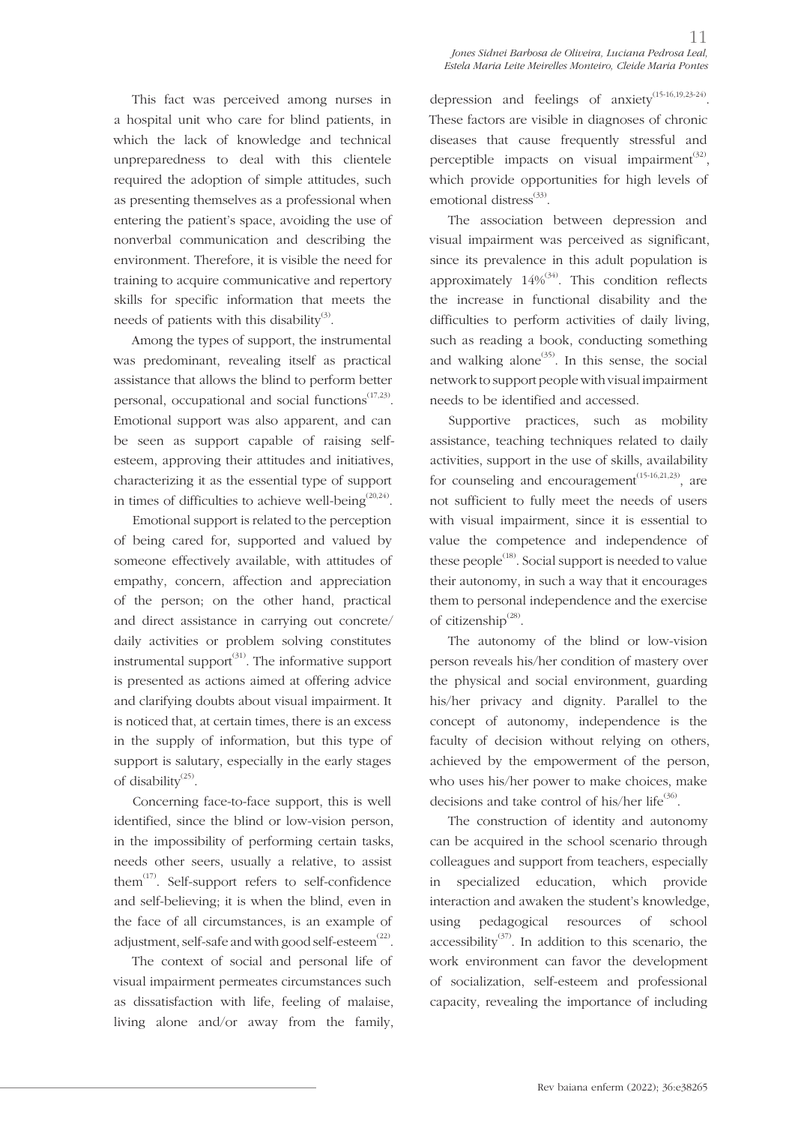This fact was perceived among nurses in a hospital unit who care for blind patients, in which the lack of knowledge and technical unpreparedness to deal with this clientele required the adoption of simple attitudes, such as presenting themselves as a professional when entering the patient's space, avoiding the use of nonverbal communication and describing the environment. Therefore, it is visible the need for training to acquire communicative and repertory skills for specific information that meets the needs of patients with this disability<sup>(3)</sup>.

Among the types of support, the instrumental was predominant, revealing itself as practical assistance that allows the blind to perform better personal, occupational and social functions<sup>(17,23)</sup>. Emotional support was also apparent, and can be seen as support capable of raising selfesteem, approving their attitudes and initiatives, characterizing it as the essential type of support in times of difficulties to achieve well-being<sup> $(20,24)$ </sup>.

Emotional support is related to the perception of being cared for, supported and valued by someone effectively available, with attitudes of empathy, concern, affection and appreciation of the person; on the other hand, practical and direct assistance in carrying out concrete/ daily activities or problem solving constitutes instrumental support<sup> $(31)$ </sup>. The informative support is presented as actions aimed at offering advice and clarifying doubts about visual impairment. It is noticed that, at certain times, there is an excess in the supply of information, but this type of support is salutary, especially in the early stages of disability $^{(25)}$ .

Concerning face-to-face support, this is well identified, since the blind or low-vision person, in the impossibility of performing certain tasks, needs other seers, usually a relative, to assist them $^{(17)}$ . Self-support refers to self-confidence and self-believing; it is when the blind, even in the face of all circumstances, is an example of adjustment, self-safe and with good self-esteem $^{(22)}$ .

The context of social and personal life of visual impairment permeates circumstances such as dissatisfaction with life, feeling of malaise, living alone and/or away from the family, depression and feelings of anxiety<sup>(15-16,19,23-24)</sup>. These factors are visible in diagnoses of chronic diseases that cause frequently stressful and perceptible impacts on visual impairment $^{(32)}$ , which provide opportunities for high levels of emotional distress $^{(33)}$ .

The association between depression and visual impairment was perceived as significant, since its prevalence in this adult population is approximately  $14\%^{(34)}$ . This condition reflects the increase in functional disability and the difficulties to perform activities of daily living, such as reading a book, conducting something and walking alone<sup> $(35)$ </sup>. In this sense, the social network to support people with visual impairment needs to be identified and accessed.

Supportive practices, such as mobility assistance, teaching techniques related to daily activities, support in the use of skills, availability for counseling and encouragement<sup> $(15-16,21,23)$ </sup>, are not sufficient to fully meet the needs of users with visual impairment, since it is essential to value the competence and independence of these people $^{(18)}$ . Social support is needed to value their autonomy, in such a way that it encourages them to personal independence and the exercise of citizenship<sup>(28)</sup>.

The autonomy of the blind or low-vision person reveals his/her condition of mastery over the physical and social environment, guarding his/her privacy and dignity. Parallel to the concept of autonomy, independence is the faculty of decision without relying on others, achieved by the empowerment of the person, who uses his/her power to make choices, make decisions and take control of his/her life<sup>(36)</sup>.

The construction of identity and autonomy can be acquired in the school scenario through colleagues and support from teachers, especially in specialized education, which provide interaction and awaken the student's knowledge, using pedagogical resources of school accessibility<sup>(37)</sup>. In addition to this scenario, the work environment can favor the development of socialization, self-esteem and professional capacity, revealing the importance of including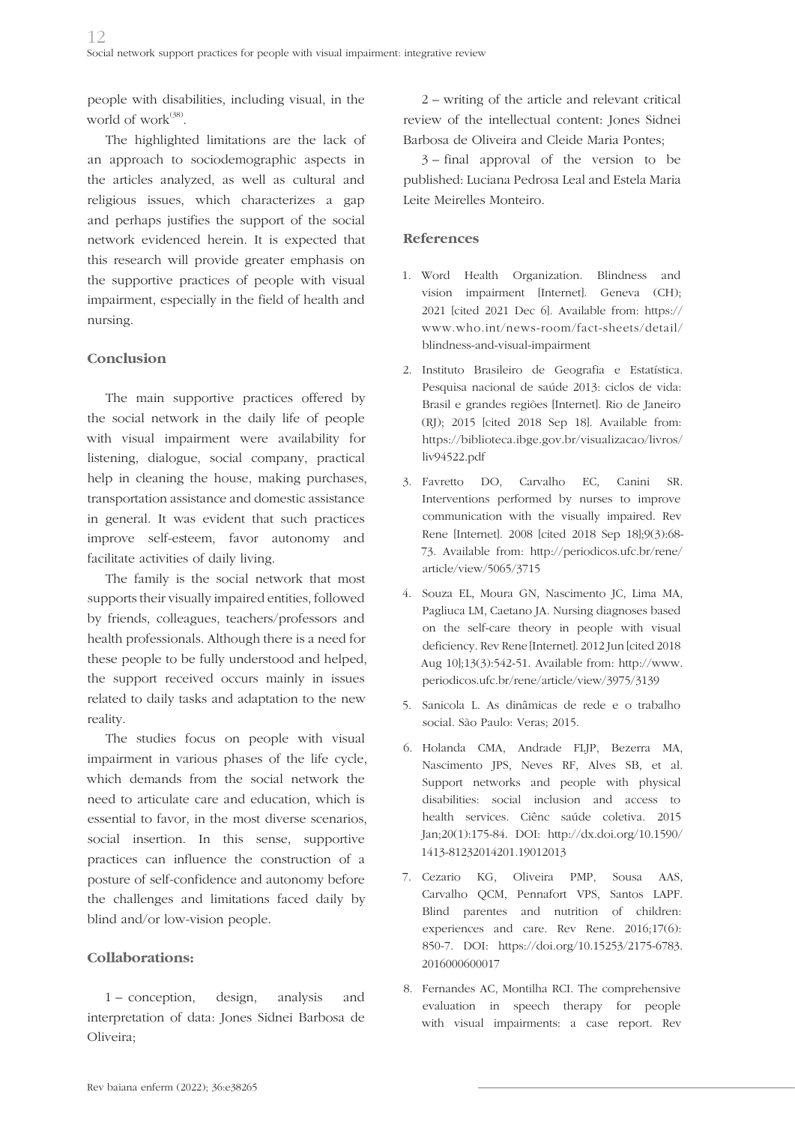people with disabilities, including visual, in the world of work $^{(38)}$ .

The highlighted limitations are the lack of an approach to sociodemographic aspects in the articles analyzed, as well as cultural and religious issues, which characterizes a gap and perhaps justifies the support of the social network evidenced herein. It is expected that this research will provide greater emphasis on the supportive practices of people with visual impairment, especially in the field of health and nursing.

### **Conclusion**

The main supportive practices offered by the social network in the daily life of people with visual impairment were availability for listening, dialogue, social company, practical help in cleaning the house, making purchases, transportation assistance and domestic assistance in general. It was evident that such practices improve self-esteem, favor autonomy and facilitate activities of daily living.

The family is the social network that most supports their visually impaired entities, followed by friends, colleagues, teachers/professors and health professionals. Although there is a need for these people to be fully understood and helped, the support received occurs mainly in issues related to daily tasks and adaptation to the new reality.

The studies focus on people with visual impairment in various phases of the life cycle, which demands from the social network the need to articulate care and education, which is essential to favor, in the most diverse scenarios, social insertion. In this sense, supportive practices can influence the construction of a posture of self-confidence and autonomy before the challenges and limitations faced daily by blind and/or low-vision people.

## **Collaborations:**

1 – conception, design, analysis and interpretation of data: Jones Sidnei Barbosa de Oliveira;

2 – writing of the article and relevant critical review of the intellectual content: Jones Sidnei Barbosa de Oliveira and Cleide Maria Pontes;

3 – final approval of the version to be published: Luciana Pedrosa Leal and Estela Maria Leite Meirelles Monteiro.

### **References**

- 1. Word Health Organization. Blindness and vision impairment [Internet]. Geneva (CH); 2021 [cited 2021 Dec 6]. Available from: https:// www.who.int/news-room/fact-sheets/detail/ blindness-and-visual-impairment
- 2. Instituto Brasileiro de Geografia e Estatística. Pesquisa nacional de saúde 2013: ciclos de vida: Brasil e grandes regiões [Internet]. Rio de Janeiro (RJ); 2015 [cited 2018 Sep 18]. Available from: https://biblioteca.ibge.gov.br/visualizacao/livros/ liv94522.pdf
- 3. Favretto DO, Carvalho EC, Canini SR. Interventions performed by nurses to improve communication with the visually impaired. Rev Rene [Internet]. 2008 [cited 2018 Sep 18];9(3):68- 73. Available from: http://periodicos.ufc.br/rene/ article/view/5065/3715
- 4. Souza EL, Moura GN, Nascimento JC, Lima MA, Pagliuca LM, Caetano JA. Nursing diagnoses based on the self-care theory in people with visual deficiency. Rev Rene [Internet]. 2012 Jun [cited 2018 Aug 10];13(3):542-51. Available from: http://www. periodicos.ufc.br/rene/article/view/3975/3139
- 5. Sanicola L. As dinâmicas de rede e o trabalho social. São Paulo: Veras; 2015.
- 6. Holanda CMA, Andrade FLJP, Bezerra MA, Nascimento JPS, Neves RF, Alves SB, et al. Support networks and people with physical disabilities: social inclusion and access to health services. Ciênc saúde coletiva. 2015 Jan;20(1):175-84. DOI: http://dx.doi.org/10.1590/ 1413-81232014201.19012013
- 7. Cezario KG, Oliveira PMP, Sousa AAS, Carvalho QCM, Pennafort VPS, Santos LAPF. Blind parentes and nutrition of children: experiences and care. Rev Rene. 2016;17(6): 850-7. DOI: https://doi.org/10.15253/2175-6783. 2016000600017
- 8. Fernandes AC, Montilha RCI. The comprehensive evaluation in speech therapy for people with visual impairments: a case report. Rev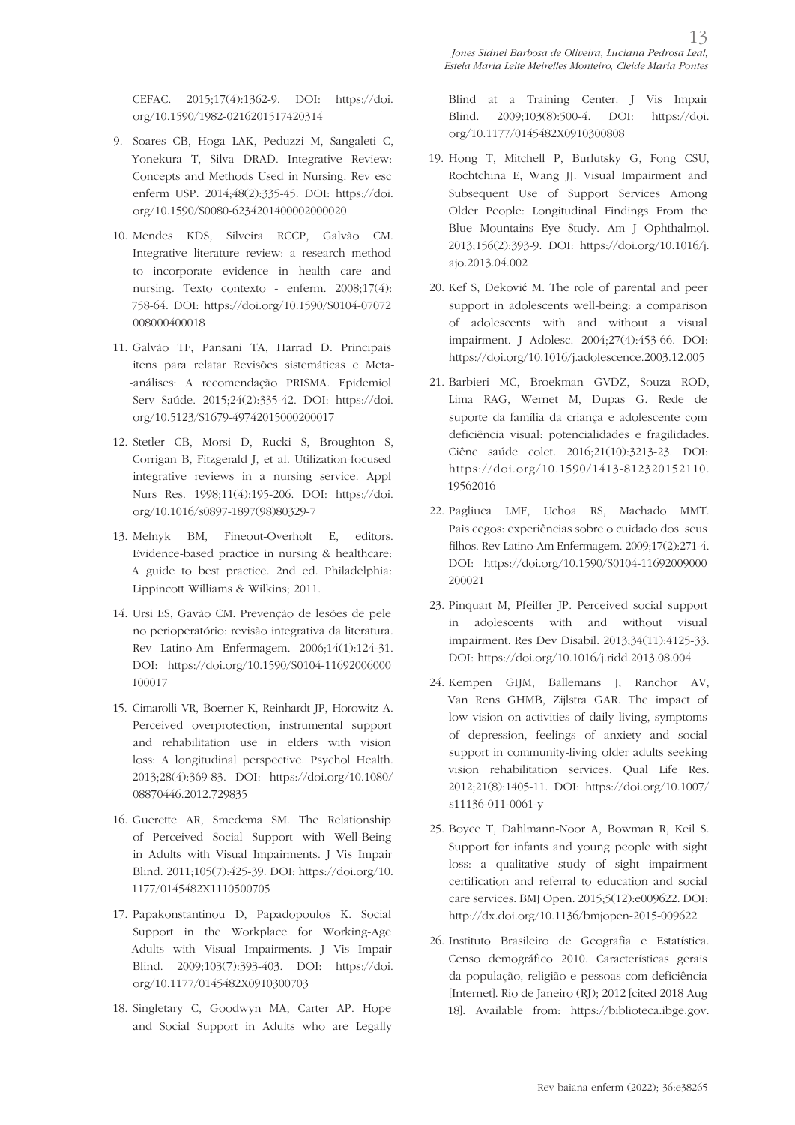CEFAC. 2015;17(4):1362-9. DOI: https://doi. org/10.1590/1982-0216201517420314

- 9. Soares CB, Hoga LAK, Peduzzi M, Sangaleti C, Yonekura T, Silva DRAD. Integrative Review: Concepts and Methods Used in Nursing. Rev esc enferm USP. 2014;48(2):335-45. DOI: https://doi. org/10.1590/S0080-6234201400002000020
- 10. Mendes KDS, Silveira RCCP, Galvão CM. Integrative literature review: a research method to incorporate evidence in health care and nursing. Texto contexto - enferm. 2008;17(4): 758-64. DOI: https://doi.org/10.1590/S0104-07072 008000400018
- 11. Galvão TF, Pansani TA, Harrad D. Principais itens para relatar Revisões sistemáticas e Meta- -análises: A recomendação PRISMA. Epidemiol Serv Saúde. 2015;24(2):335-42. DOI: https://doi. org/10.5123/S1679-49742015000200017
- 12. Stetler CB, Morsi D, Rucki S, Broughton S, Corrigan B, Fitzgerald J, et al. Utilization-focused integrative reviews in a nursing service. Appl Nurs Res. 1998;11(4):195-206. DOI: https://doi. org/10.1016/s0897-1897(98)80329-7
- 13. Melnyk BM, Fineout-Overholt E, editors. Evidence-based practice in nursing & healthcare: A guide to best practice. 2nd ed. Philadelphia: Lippincott Williams & Wilkins; 2011.
- 14. Ursi ES, Gavão CM. Prevenção de lesões de pele no perioperatório: revisão integrativa da literatura. Rev Latino-Am Enfermagem. 2006;14(1):124-31. DOI: https://doi.org/10.1590/S0104-11692006000 100017
- 15. Cimarolli VR, Boerner K, Reinhardt JP, Horowitz A. Perceived overprotection, instrumental support and rehabilitation use in elders with vision loss: A longitudinal perspective. Psychol Health. 2013;28(4):369-83. DOI: https://doi.org/10.1080/ 08870446.2012.729835
- 16. Guerette AR, Smedema SM. The Relationship of Perceived Social Support with Well-Being in Adults with Visual Impairments. J Vis Impair Blind. 2011;105(7):425-39. DOI: https://doi.org/10. 1177/0145482X1110500705
- 17. Papakonstantinou D, Papadopoulos K. Social Support in the Workplace for Working-Age Adults with Visual Impairments. J Vis Impair Blind. 2009;103(7):393-403. DOI: https://doi. org/10.1177/0145482X0910300703
- 18. Singletary C, Goodwyn MA, Carter AP. Hope and Social Support in Adults who are Legally

Blind at a Training Center. J Vis Impair Blind. 2009;103(8):500-4. DOI: https://doi. org/10.1177/0145482X0910300808

- 19. Hong T, Mitchell P, Burlutsky G, Fong CSU, Rochtchina E, Wang JJ. Visual Impairment and Subsequent Use of Support Services Among Older People: Longitudinal Findings From the Blue Mountains Eye Study. Am J Ophthalmol. 2013;156(2):393-9. DOI: https://doi.org/10.1016/j. ajo.2013.04.002
- 20. Kef S, Deković M. The role of parental and peer support in adolescents well-being: a comparison of adolescents with and without a visual impairment. J Adolesc. 2004;27(4):453-66. DOI: https://doi.org/10.1016/j.adolescence.2003.12.005
- 21. Barbieri MC, Broekman GVDZ, Souza ROD, Lima RAG, Wernet M, Dupas G. Rede de suporte da família da criança e adolescente com deficiência visual: potencialidades e fragilidades. Ciênc saúde colet. 2016;21(10):3213-23. DOI: https://doi.org/10.1590/1413-812320152110. 19562016
- 22. Pagliuca LMF, Uchoa RS, Machado MMT. Pais cegos: experiências sobre o cuidado dos seus filhos. Rev Latino-Am Enfermagem. 2009;17(2):271-4. DOI: https://doi.org/10.1590/S0104-11692009000 200021
- 23. Pinquart M, Pfeiffer JP. Perceived social support in adolescents with and without visual impairment. Res Dev Disabil. 2013;34(11):4125-33. DOI: https://doi.org/10.1016/j.ridd.2013.08.004
- 24. Kempen GIJM, Ballemans J, Ranchor AV, Van Rens GHMB, Zijlstra GAR. The impact of low vision on activities of daily living, symptoms of depression, feelings of anxiety and social support in community-living older adults seeking vision rehabilitation services. Qual Life Res. 2012;21(8):1405-11. DOI: https://doi.org/10.1007/ s11136-011-0061-y
- 25. Boyce T, Dahlmann-Noor A, Bowman R, Keil S. Support for infants and young people with sight loss: a qualitative study of sight impairment certification and referral to education and social care services. BMJ Open. 2015;5(12):e009622. DOI: http://dx.doi.org/10.1136/bmjopen-2015-009622
- 26. Instituto Brasileiro de Geografia e Estatística. Censo demográfico 2010. Características gerais da população, religião e pessoas com deficiência [Internet]. Rio de Janeiro (RJ); 2012 [cited 2018 Aug 18]. Available from: https://biblioteca.ibge.gov.